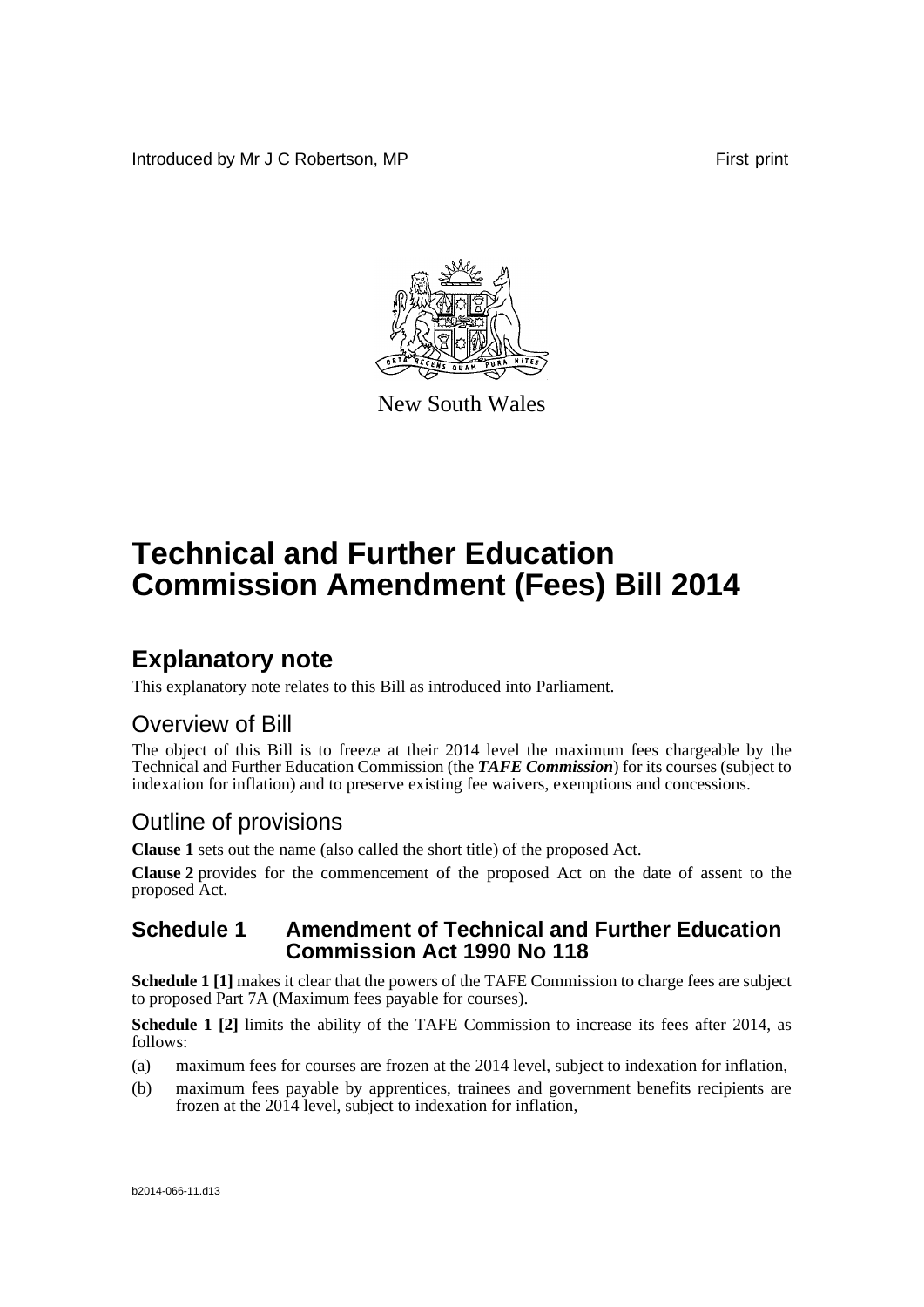Introduced by Mr J C Robertson, MP **First** print



New South Wales

# **Technical and Further Education Commission Amendment (Fees) Bill 2014**

## **Explanatory note**

This explanatory note relates to this Bill as introduced into Parliament.

### Overview of Bill

The object of this Bill is to freeze at their 2014 level the maximum fees chargeable by the Technical and Further Education Commission (the *TAFE Commission*) for its courses (subject to indexation for inflation) and to preserve existing fee waivers, exemptions and concessions.

### Outline of provisions

**Clause 1** sets out the name (also called the short title) of the proposed Act.

**Clause 2** provides for the commencement of the proposed Act on the date of assent to the proposed Act.

#### **Schedule 1 Amendment of Technical and Further Education Commission Act 1990 No 118**

**Schedule 1** [1] makes it clear that the powers of the TAFE Commission to charge fees are subject to proposed Part 7A (Maximum fees payable for courses).

**Schedule 1 [2]** limits the ability of the TAFE Commission to increase its fees after 2014, as follows:

- (a) maximum fees for courses are frozen at the 2014 level, subject to indexation for inflation,
- (b) maximum fees payable by apprentices, trainees and government benefits recipients are frozen at the 2014 level, subject to indexation for inflation,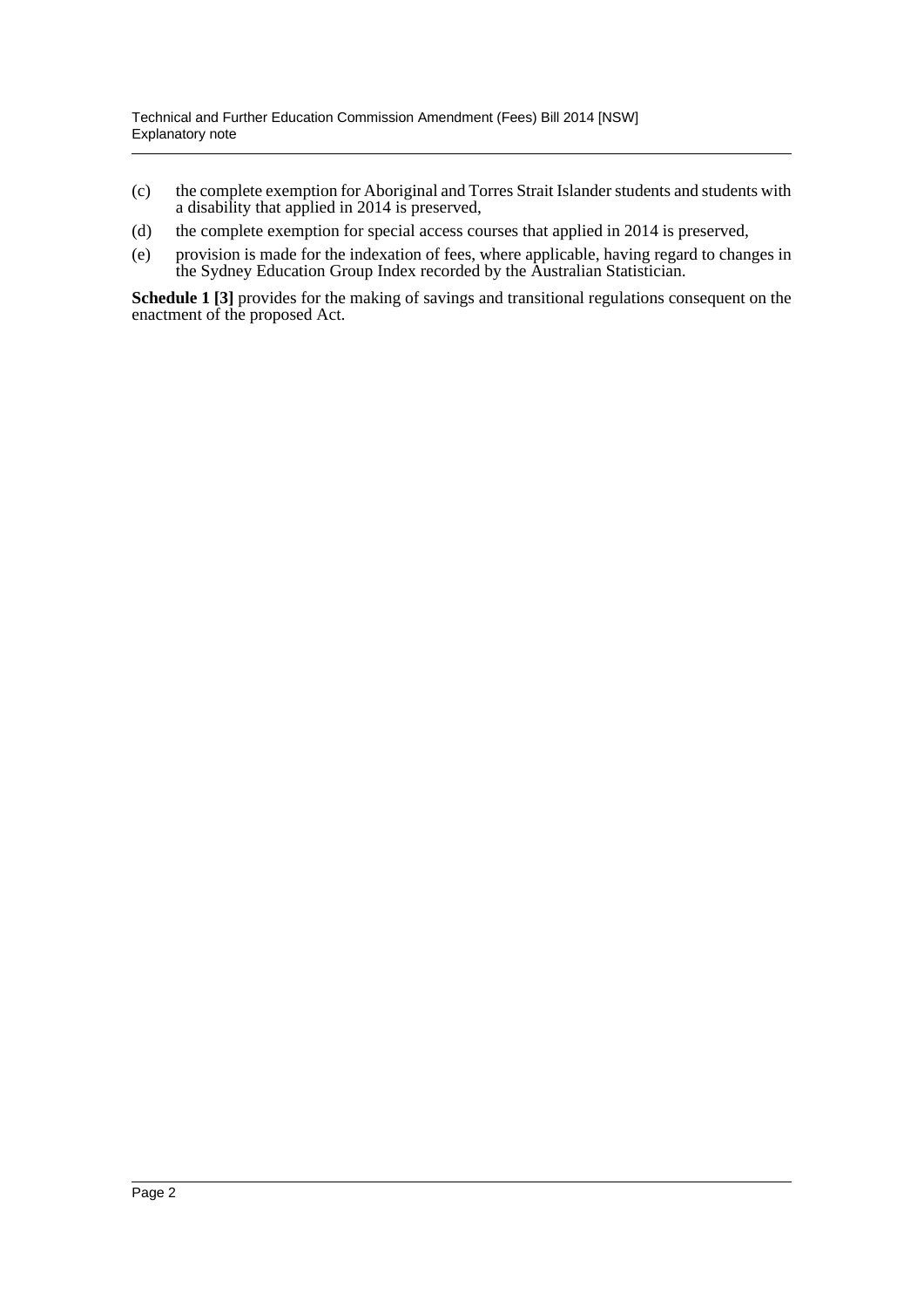- (c) the complete exemption for Aboriginal and Torres Strait Islander students and students with a disability that applied in 2014 is preserved,
- (d) the complete exemption for special access courses that applied in 2014 is preserved,
- (e) provision is made for the indexation of fees, where applicable, having regard to changes in the Sydney Education Group Index recorded by the Australian Statistician.

**Schedule 1 [3]** provides for the making of savings and transitional regulations consequent on the enactment of the proposed Act.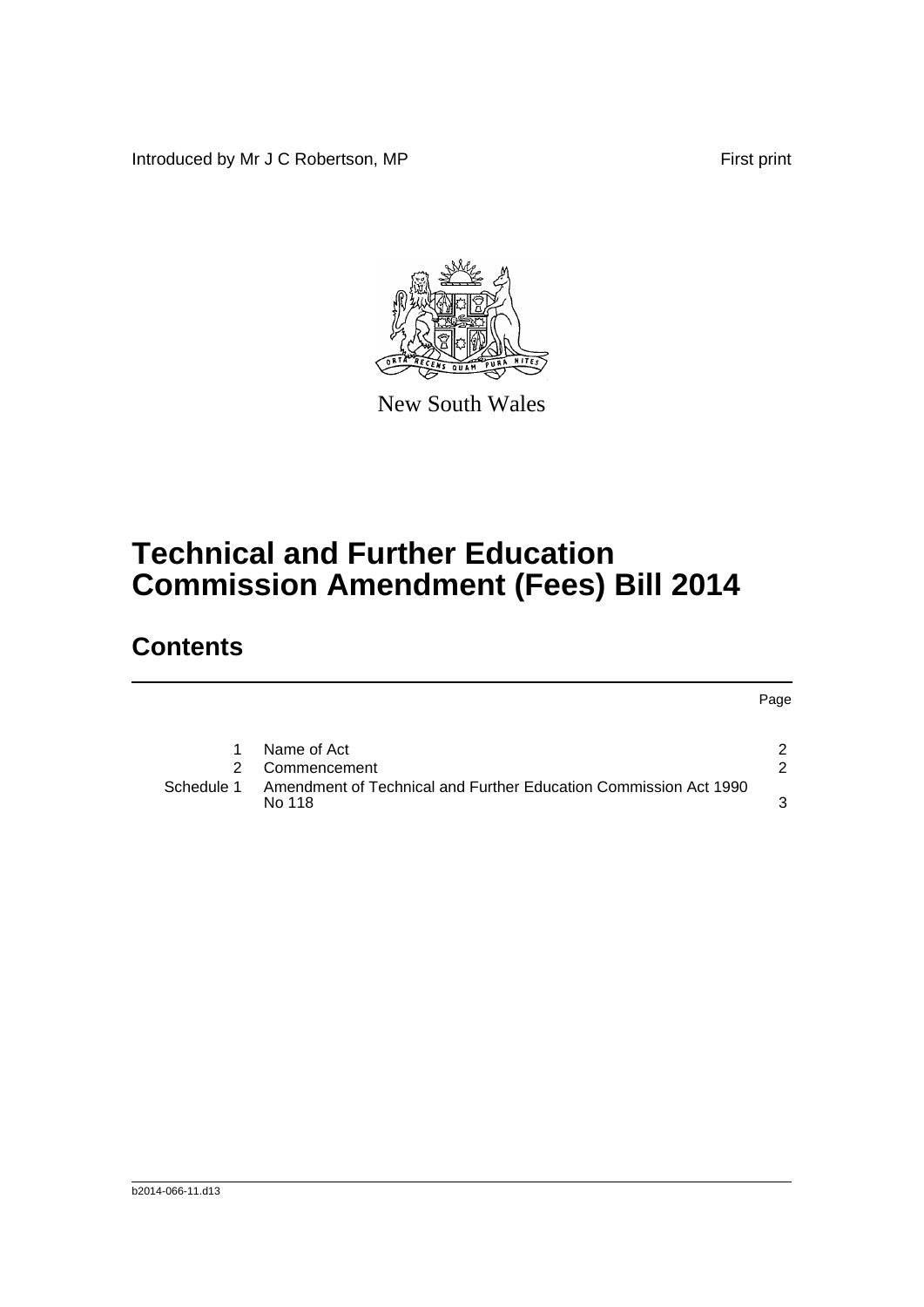Introduced by Mr J C Robertson, MP First print

Page



New South Wales

# **Technical and Further Education Commission Amendment (Fees) Bill 2014**

## **Contents**

|            | Name of Act                                                                |  |
|------------|----------------------------------------------------------------------------|--|
|            | 2 Commencement                                                             |  |
| Schedule 1 | Amendment of Technical and Further Education Commission Act 1990<br>No 118 |  |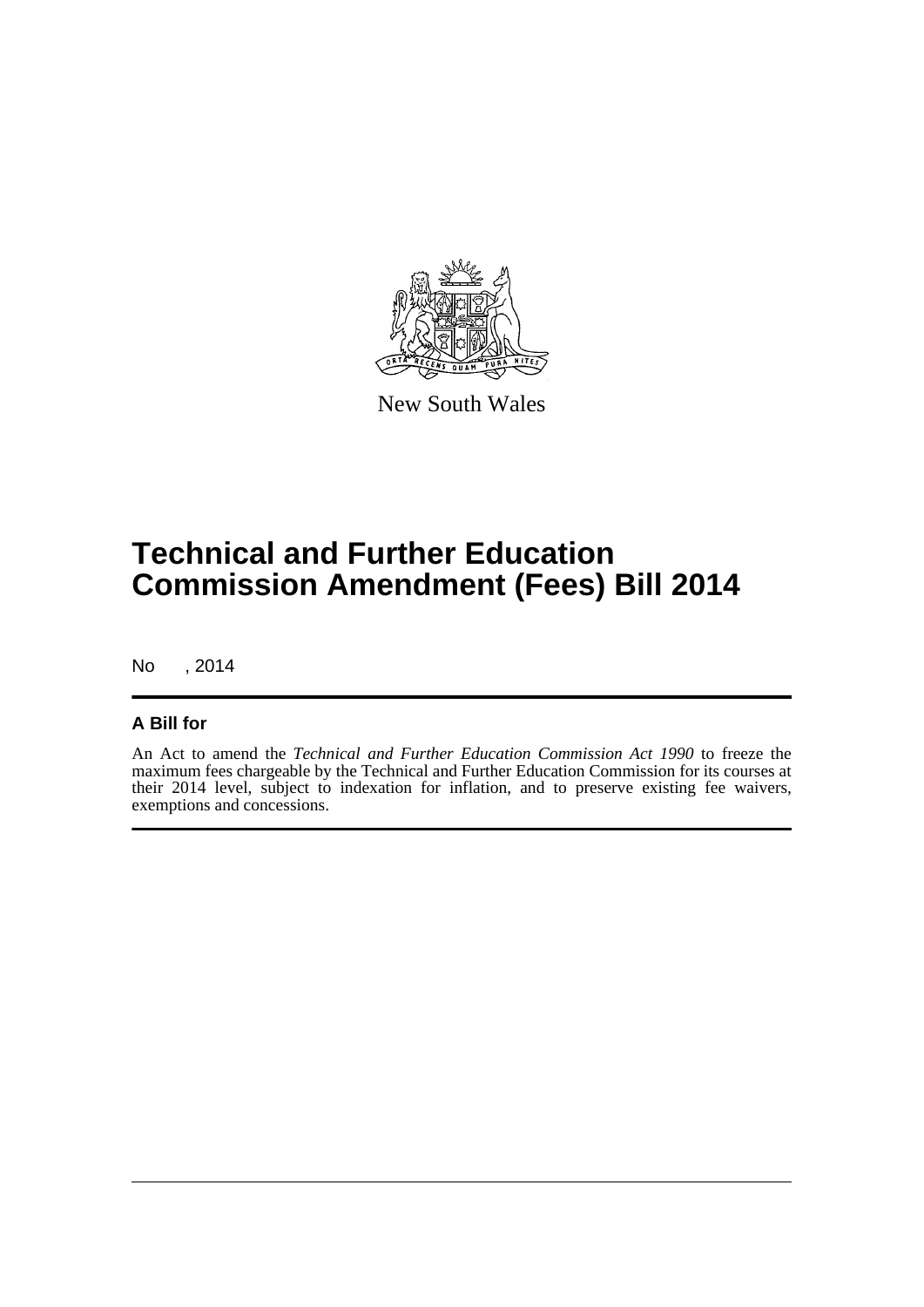

New South Wales

## **Technical and Further Education Commission Amendment (Fees) Bill 2014**

No , 2014

#### **A Bill for**

An Act to amend the *Technical and Further Education Commission Act 1990* to freeze the maximum fees chargeable by the Technical and Further Education Commission for its courses at their 2014 level, subject to indexation for inflation, and to preserve existing fee waivers, exemptions and concessions.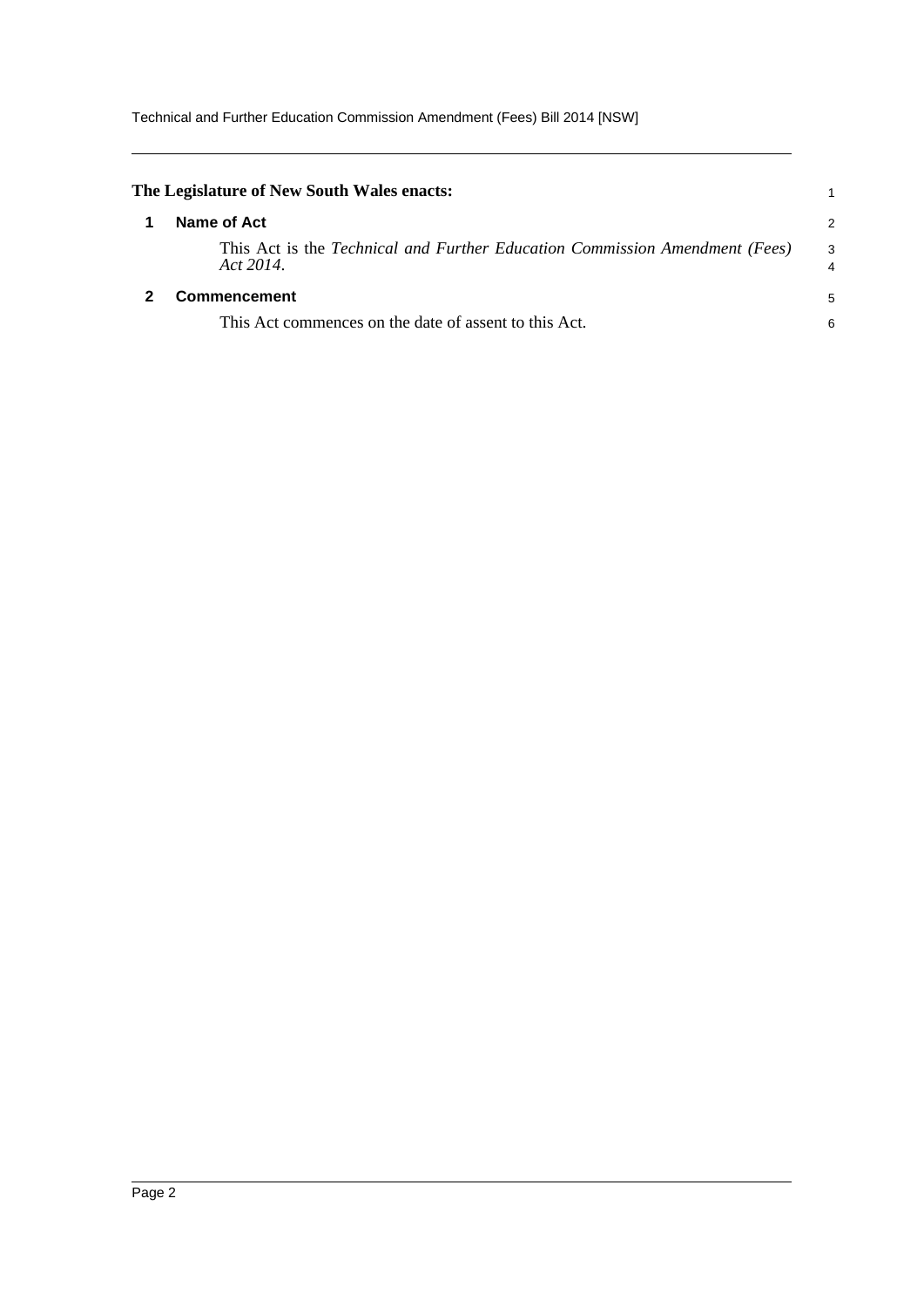<span id="page-4-1"></span><span id="page-4-0"></span>

| The Legislature of New South Wales enacts:                                               |   |
|------------------------------------------------------------------------------------------|---|
| Name of Act                                                                              | 2 |
| This Act is the Technical and Further Education Commission Amendment (Fees)<br>Act 2014. | 3 |
| Commencement<br>This Act commences on the date of assent to this Act.                    |   |
|                                                                                          | 6 |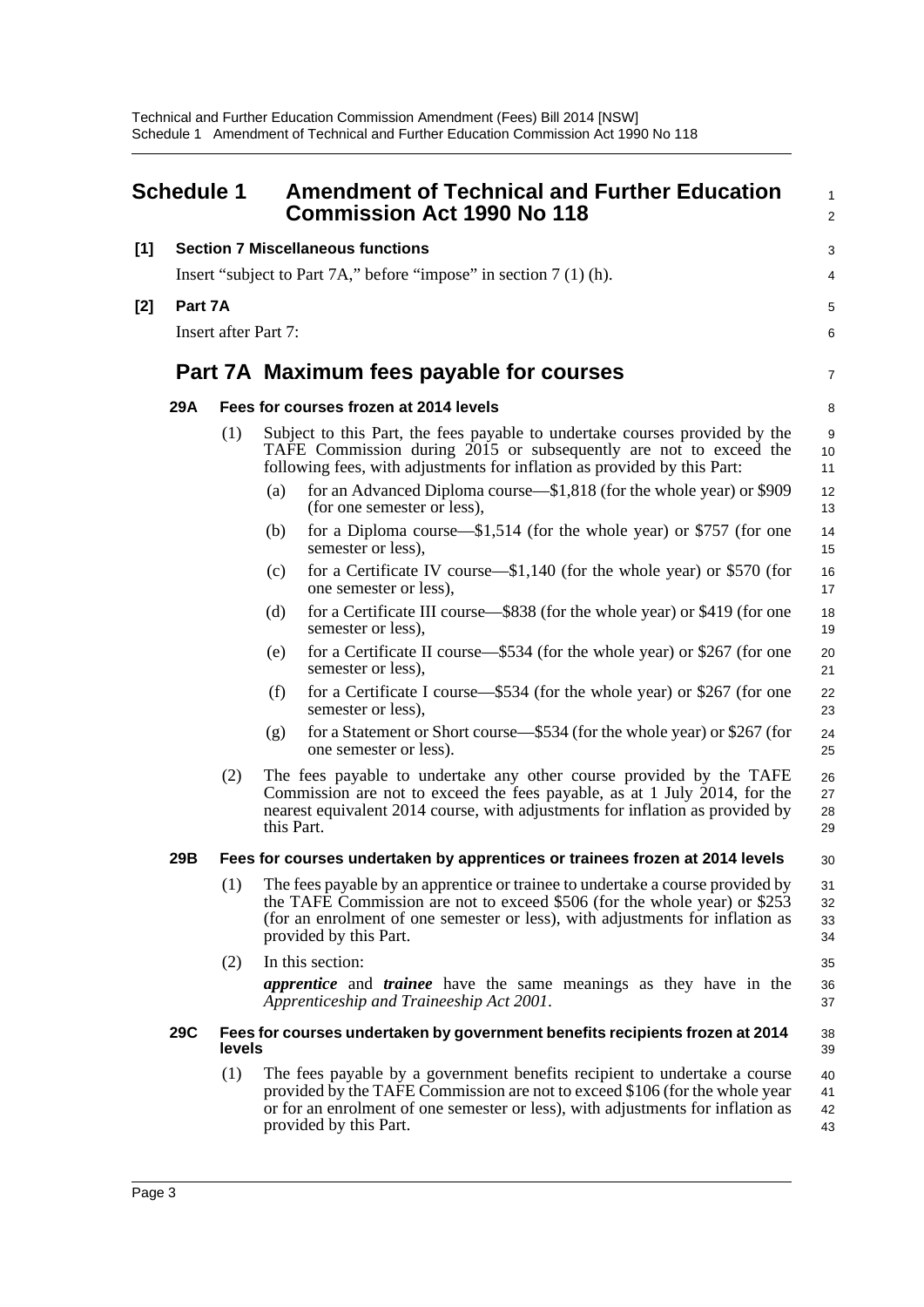<span id="page-5-0"></span>

|       | <b>Schedule 1</b>                      |                                                                                        | <b>Amendment of Technical and Further Education</b><br><b>Commission Act 1990 No 118</b>                                                                                                                                                                               | $\mathbf{1}$<br>2    |  |  |
|-------|----------------------------------------|----------------------------------------------------------------------------------------|------------------------------------------------------------------------------------------------------------------------------------------------------------------------------------------------------------------------------------------------------------------------|----------------------|--|--|
| [1]   |                                        |                                                                                        | <b>Section 7 Miscellaneous functions</b>                                                                                                                                                                                                                               | 3                    |  |  |
|       |                                        | Insert "subject to Part 7A," before "impose" in section 7 (1) (h).                     |                                                                                                                                                                                                                                                                        |                      |  |  |
| $[2]$ | Part 7A<br><b>Insert after Part 7:</b> |                                                                                        |                                                                                                                                                                                                                                                                        |                      |  |  |
|       |                                        |                                                                                        | Part 7A Maximum fees payable for courses                                                                                                                                                                                                                               | $\overline{7}$       |  |  |
|       | 29A                                    |                                                                                        | Fees for courses frozen at 2014 levels                                                                                                                                                                                                                                 | 8                    |  |  |
|       |                                        | (1)                                                                                    | Subject to this Part, the fees payable to undertake courses provided by the<br>TAFE Commission during 2015 or subsequently are not to exceed the<br>following fees, with adjustments for inflation as provided by this Part:                                           | 9<br>10<br>11        |  |  |
|       |                                        |                                                                                        | for an Advanced Diploma course—\$1,818 (for the whole year) or \$909<br>(a)<br>(for one semester or less),                                                                                                                                                             | 12<br>13             |  |  |
|       |                                        |                                                                                        | for a Diploma course— $$1,514$ (for the whole year) or \$757 (for one<br>(b)<br>semester or less),                                                                                                                                                                     | 14<br>15             |  |  |
|       |                                        |                                                                                        | for a Certificate IV course— $$1,140$ (for the whole year) or \$570 (for<br>(c)<br>one semester or less),                                                                                                                                                              | 16<br>17             |  |  |
|       |                                        |                                                                                        | for a Certificate III course—\$838 (for the whole year) or \$419 (for one<br>(d)<br>semester or less),                                                                                                                                                                 | 18<br>19             |  |  |
|       |                                        |                                                                                        | for a Certificate II course—\$534 (for the whole year) or \$267 (for one<br>(e)<br>semester or less),                                                                                                                                                                  | 20<br>21             |  |  |
|       |                                        |                                                                                        | (f)<br>for a Certificate I course—\$534 (for the whole year) or \$267 (for one<br>semester or less),                                                                                                                                                                   | 22<br>23             |  |  |
|       |                                        |                                                                                        | for a Statement or Short course—\$534 (for the whole year) or \$267 (for<br>(g)<br>one semester or less).                                                                                                                                                              | 24<br>25             |  |  |
|       |                                        | (2)                                                                                    | The fees payable to undertake any other course provided by the TAFE<br>Commission are not to exceed the fees payable, as at 1 July 2014, for the<br>nearest equivalent 2014 course, with adjustments for inflation as provided by<br>this Part.                        | 26<br>27<br>28<br>29 |  |  |
|       | 29B                                    |                                                                                        | Fees for courses undertaken by apprentices or trainees frozen at 2014 levels                                                                                                                                                                                           | 30                   |  |  |
|       |                                        | (1)                                                                                    | The fees payable by an apprentice or trainee to undertake a course provided by<br>the TAFE Commission are not to exceed \$506 (for the whole year) or \$253<br>(for an enrolment of one semester or less), with adjustments for inflation as<br>provided by this Part. | 31<br>32<br>33<br>34 |  |  |
|       |                                        | (2)                                                                                    | In this section:                                                                                                                                                                                                                                                       | 35                   |  |  |
|       |                                        |                                                                                        | <i>apprentice</i> and <i>trainee</i> have the same meanings as they have in the<br>Apprenticeship and Traineeship Act 2001.                                                                                                                                            | 36<br>37             |  |  |
|       | <b>29C</b>                             | Fees for courses undertaken by government benefits recipients frozen at 2014<br>levels |                                                                                                                                                                                                                                                                        |                      |  |  |
|       |                                        | (1)                                                                                    | The fees payable by a government benefits recipient to undertake a course<br>provided by the TAFE Commission are not to exceed \$106 (for the whole year<br>or for an enrolment of one semester or less), with adjustments for inflation as<br>provided by this Part.  | 40<br>41<br>42<br>43 |  |  |